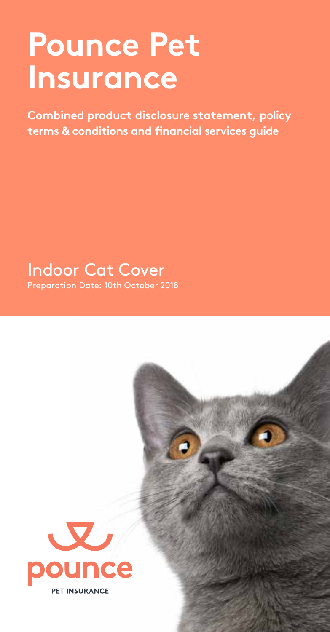# **Pounce Pet Insurance**

**Combined product disclosure statement, policy terms & conditions and financial services guide**

Indoor Cat Cover

Preparation Date: 10th October 2018

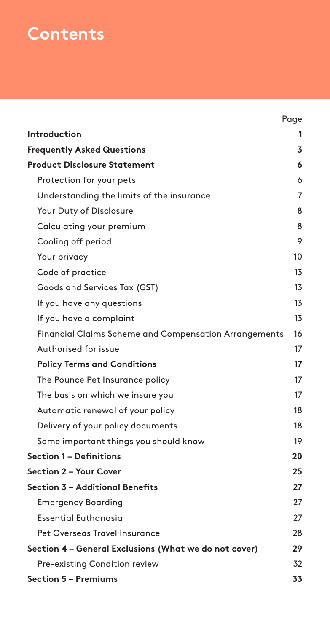## **Contents**

|                                                       | Page |
|-------------------------------------------------------|------|
| Introduction                                          |      |
| <b>Frequently Asked Questions</b>                     | 3    |
| <b>Product Disclosure Statement</b>                   | 6    |
| Protection for your pets                              | 6    |
| Understanding the limits of the insurance             | 7    |
| Your Duty of Disclosure                               | 8    |
| Calculating your premium                              | 8    |
| Cooling off period                                    | 9    |
| Your privacy                                          | 10   |
| Code of practice                                      | 13   |
| Goods and Services Tax (GST)                          | 13   |
| If you have any questions                             | 13   |
| If you have a complaint                               | 13   |
| Financial Claims Scheme and Compensation Arrangements | 16   |
| Authorised for issue                                  | 17   |
| <b>Policy Terms and Conditions</b>                    | 17   |
| The Pounce Pet Insurance policy                       | 17   |
| The basis on which we insure you                      | 17   |
| Automatic renewal of your policy                      | 18   |
| Delivery of your policy documents                     | 18   |
| Some important things you should know                 | 19   |
| <b>Section 1 - Definitions</b>                        | 20   |
| Section 2 - Your Cover                                | 25   |
| Section 3 – Additional Benefits                       | 27   |
| <b>Emergency Boarding</b>                             | 27   |
| <b>Essential Euthanasia</b>                           | 27   |
| Pet Overseas Travel Insurance                         | 28   |
| Section 4 - General Exclusions (What we do not cover) | 29   |
| Pre-existing Condition review                         | 32   |
| <b>Section 5 - Premiums</b>                           | 33   |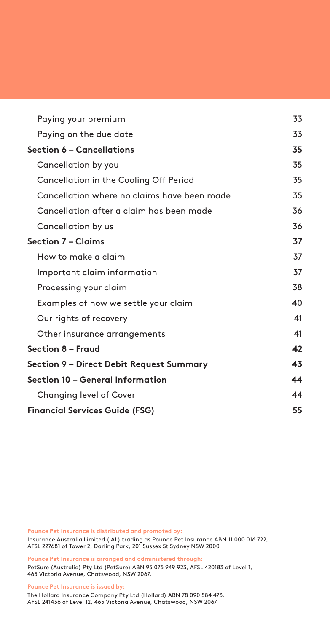| Paying your premium                         | 33 |
|---------------------------------------------|----|
| Paying on the due date                      | 33 |
| Section 6 – Cancellations                   | 35 |
| Cancellation by you                         | 35 |
| Cancellation in the Cooling Off Period      | 35 |
| Cancellation where no claims have been made | 35 |
| Cancellation after a claim has been made    | 36 |
| Cancellation by us                          | 36 |
| Section 7 – Claims                          | 37 |
| How to make a claim                         | 37 |
| Important claim information                 | 37 |
| Processing your claim                       | 38 |
| Examples of how we settle your claim        | 40 |
| Our rights of recovery                      | 41 |
| Other insurance arrangements                | 41 |
| Section 8 - Fraud                           | 42 |
| Section 9 – Direct Debit Request Summary    | 43 |
| Section 10 – General Information            | 44 |
| Changing level of Cover                     | 44 |
| <b>Financial Services Guide (FSG)</b>       | 55 |

**Pounce Pet Insurance is distributed and promoted by:** Insurance Australia Limited (IAL) trading as Pounce Pet Insurance ABN 11 000 016 722, AFSL 227681 of Tower 2, Darling Park, 201 Sussex St Sydney NSW 2000

**Pounce Pet Insurance is arranged and administered through:**

PetSure (Australia) Pty Ltd (PetSure) ABN 95 075 949 923, AFSL 420183 of Level 1, 465 Victoria Avenue, Chatswood, NSW 2067.

**Pounce Pet Insurance is issued by:**

The Hollard Insurance Company Pty Ltd (Hollard) ABN 78 090 584 473, AFSL 241436 of Level 12, 465 Victoria Avenue, Chatswood, NSW 2067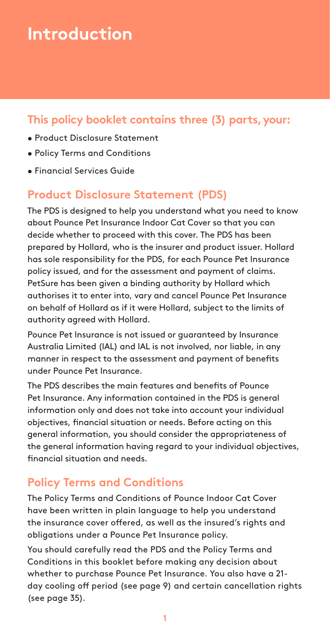## **Introduction**

## **This policy booklet contains three (3) parts, your:**

- Product Disclosure Statement
- Policy Terms and Conditions
- Financial Services Guide

### **Product Disclosure Statement (PDS)**

The PDS is designed to help you understand what you need to know about Pounce Pet Insurance Indoor Cat Cover so that you can decide whether to proceed with this cover. The PDS has been prepared by Hollard, who is the insurer and product issuer. Hollard has sole responsibility for the PDS, for each Pounce Pet Insurance policy issued, and for the assessment and payment of claims. PetSure has been given a binding authority by Hollard which authorises it to enter into, vary and cancel Pounce Pet Insurance on behalf of Hollard as if it were Hollard, subject to the limits of authority agreed with Hollard.

Pounce Pet Insurance is not issued or guaranteed by Insurance Australia Limited (IAL) and IAL is not involved, nor liable, in any manner in respect to the assessment and payment of benefits under Pounce Pet Insurance.

The PDS describes the main features and benefits of Pounce Pet Insurance. Any information contained in the PDS is general information only and does not take into account your individual objectives, financial situation or needs. Before acting on this general information, you should consider the appropriateness of the general information having regard to your individual objectives, financial situation and needs.

## **Policy Terms and Conditions**

The Policy Terms and Conditions of Pounce Indoor Cat Cover have been written in plain language to help you understand the insurance cover offered, as well as the insured's rights and obligations under a Pounce Pet Insurance policy.

You should carefully read the PDS and the Policy Terms and Conditions in this booklet before making any decision about whether to purchase Pounce Pet Insurance. You also have a 21 day cooling off period (see page 9) and certain cancellation rights (see page 35).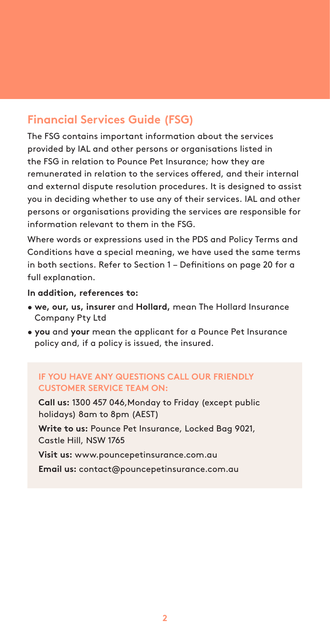## **Financial Services Guide (FSG)**

The FSG contains important information about the services provided by IAL and other persons or organisations listed in the FSG in relation to Pounce Pet Insurance; how they are remunerated in relation to the services offered, and their internal and external dispute resolution procedures. It is designed to assist you in deciding whether to use any of their services. IAL and other persons or organisations providing the services are responsible for information relevant to them in the FSG.

Where words or expressions used in the PDS and Policy Terms and Conditions have a special meaning, we have used the same terms in both sections. Refer to Section 1 – Definitions on page 20 for a full explanation.

#### **In addition, references to:**

- **we, our, us, insurer** and **Hollard,** mean The Hollard Insurance Company Pty Ltd
- **you** and **your** mean the applicant for a Pounce Pet Insurance policy and, if a policy is issued, the insured.

#### **IF YOU HAVE ANY QUESTIONS CALL OUR FRIENDLY CUSTOMER SERVICE TEAM ON:**

**Call us:** 1300 457 046,Monday to Friday (except public holidays) 8am to 8pm (AEST)

**Write to us:** Pounce Pet Insurance, Locked Bag 9021, Castle Hill, NSW 1765

**Visit us:** www.pouncepetinsurance.com.au

**Email us:** contact@pouncepetinsurance.com.au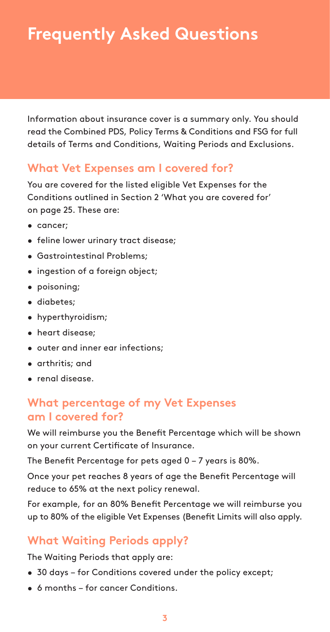## **Frequently Asked Questions**

Information about insurance cover is a summary only. You should read the Combined PDS, Policy Terms & Conditions and FSG for full details of Terms and Conditions, Waiting Periods and Exclusions.

### **What Vet Expenses am I covered for?**

You are covered for the listed eligible Vet Expenses for the Conditions outlined in Section 2 'What you are covered for' on page 25. These are:

- cancer;
- feline lower urinary tract disease;
- Gastrointestinal Problems;
- ingestion of a foreign object;
- poisoning;
- diabetes;
- hyperthyroidism;
- heart disease;
- outer and inner ear infections;
- arthritis; and
- renal disease.

### **What percentage of my Vet Expenses am I covered for?**

We will reimburse you the Benefit Percentage which will be shown on your current Certificate of Insurance.

The Benefit Percentage for pets aged 0 – 7 years is 80%.

Once your pet reaches 8 years of age the Benefit Percentage will reduce to 65% at the next policy renewal.

For example, for an 80% Benefit Percentage we will reimburse you up to 80% of the eligible Vet Expenses (Benefit Limits will also apply.

### **What Waiting Periods apply?**

The Waiting Periods that apply are:

- 30 days for Conditions covered under the policy except;
- 6 months for cancer Conditions.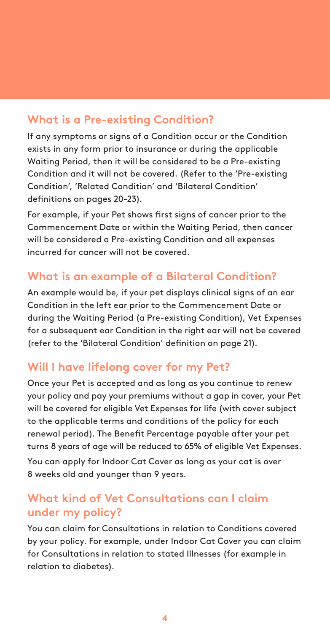## **What is a Pre-existing Condition?**

If any symptoms or signs of a Condition occur or the Condition exists in any form prior to insurance or during the applicable Waiting Period, then it will be considered to be a Pre-existing Condition and it will not be covered. (Refer to the 'Pre-existing Condition', 'Related Condition' and 'Bilateral Condition' definitions on pages 20-23).

For example, if your Pet shows first signs of cancer prior to the Commencement Date or within the Waiting Period, then cancer will be considered a Pre-existing Condition and all expenses incurred for cancer will not be covered.

## **What is an example of a Bilateral Condition?**

An example would be, if your pet displays clinical signs of an ear Condition in the left ear prior to the Commencement Date or during the Waiting Period (a Pre-existing Condition), Vet Expenses for a subsequent ear Condition in the right ear will not be covered (refer to the 'Bilateral Condition' definition on page 21).

## **Will I have lifelong cover for my Pet?**

Once your Pet is accepted and as long as you continue to renew your policy and pay your premiums without a gap in cover, your Pet will be covered for eligible Vet Expenses for life (with cover subject to the applicable terms and conditions of the policy for each renewal period). The Benefit Percentage payable after your pet turns 8 years of age will be reduced to 65% of eligible Vet Expenses. You can apply for Indoor Cat Cover as long as your cat is over 8 weeks old and younger than 9 years.

## **What kind of Vet Consultations can I claim under my policy?**

You can claim for Consultations in relation to Conditions covered by your policy. For example, under Indoor Cat Cover you can claim for Consultations in relation to stated Illnesses (for example in relation to diabetes).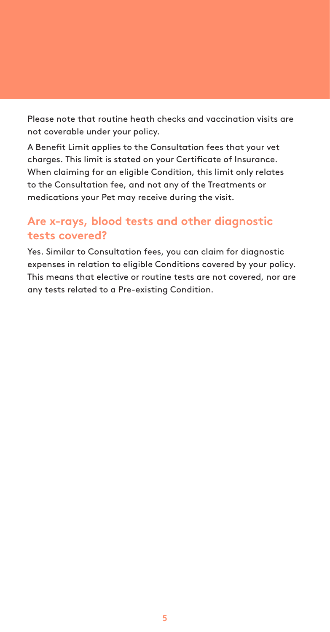Please note that routine heath checks and vaccination visits are not coverable under your policy.

A Benefit Limit applies to the Consultation fees that your vet charges. This limit is stated on your Certificate of Insurance. When claiming for an eligible Condition, this limit only relates to the Consultation fee, and not any of the Treatments or medications your Pet may receive during the visit.

## **Are x-rays, blood tests and other diagnostic tests covered?**

Yes. Similar to Consultation fees, you can claim for diagnostic expenses in relation to eligible Conditions covered by your policy. This means that elective or routine tests are not covered, nor are any tests related to a Pre-existing Condition.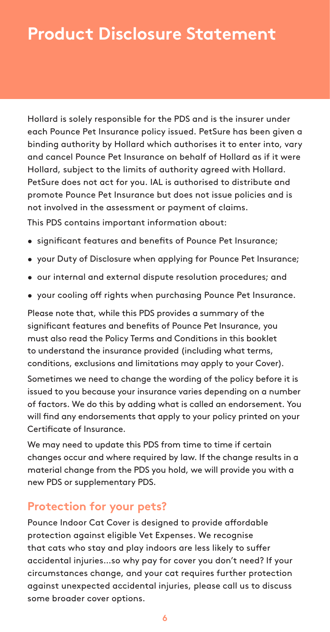## **Product Disclosure Statement**

Hollard is solely responsible for the PDS and is the insurer under each Pounce Pet Insurance policy issued. PetSure has been given a binding authority by Hollard which authorises it to enter into, vary and cancel Pounce Pet Insurance on behalf of Hollard as if it were Hollard, subject to the limits of authority agreed with Hollard. PetSure does not act for you. IAL is authorised to distribute and promote Pounce Pet Insurance but does not issue policies and is not involved in the assessment or payment of claims.

This PDS contains important information about:

- significant features and benefits of Pounce Pet Insurance;
- your Duty of Disclosure when applying for Pounce Pet Insurance;
- our internal and external dispute resolution procedures; and
- your cooling off rights when purchasing Pounce Pet Insurance.

Please note that, while this PDS provides a summary of the significant features and benefits of Pounce Pet Insurance, you must also read the Policy Terms and Conditions in this booklet to understand the insurance provided (including what terms, conditions, exclusions and limitations may apply to your Cover).

Sometimes we need to change the wording of the policy before it is issued to you because your insurance varies depending on a number of factors. We do this by adding what is called an endorsement. You will find any endorsements that apply to your policy printed on your Certificate of Insurance.

We may need to update this PDS from time to time if certain changes occur and where required by law. If the change results in a material change from the PDS you hold, we will provide you with a new PDS or supplementary PDS.

### **Protection for your pets?**

Pounce Indoor Cat Cover is designed to provide affordable protection against eligible Vet Expenses. We recognise that cats who stay and play indoors are less likely to suffer accidental injuries…so why pay for cover you don't need? If your circumstances change, and your cat requires further protection against unexpected accidental injuries, please call us to discuss some broader cover options.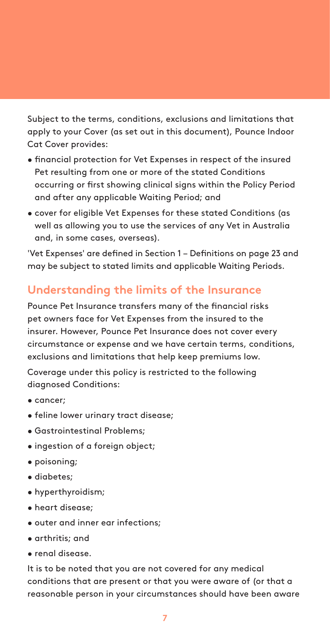Subject to the terms, conditions, exclusions and limitations that apply to your Cover (as set out in this document), Pounce Indoor Cat Cover provides:

- financial protection for Vet Expenses in respect of the insured Pet resulting from one or more of the stated Conditions occurring or first showing clinical signs within the Policy Period and after any applicable Waiting Period; and
- cover for eligible Vet Expenses for these stated Conditions (as well as allowing you to use the services of any Vet in Australia and, in some cases, overseas).

'Vet Expenses' are defined in Section 1 – Definitions on page 23 and may be subject to stated limits and applicable Waiting Periods.

## **Understanding the limits of the Insurance**

Pounce Pet Insurance transfers many of the financial risks pet owners face for Vet Expenses from the insured to the insurer. However, Pounce Pet Insurance does not cover every circumstance or expense and we have certain terms, conditions, exclusions and limitations that help keep premiums low.

Coverage under this policy is restricted to the following diagnosed Conditions:

- cancer;
- feline lower urinary tract disease;
- Gastrointestinal Problems;
- ingestion of a foreign object;
- poisoning;
- diabetes;
- hyperthyroidism;
- heart disease;
- outer and inner ear infections;
- arthritis; and
- renal disease.

It is to be noted that you are not covered for any medical conditions that are present or that you were aware of (or that a reasonable person in your circumstances should have been aware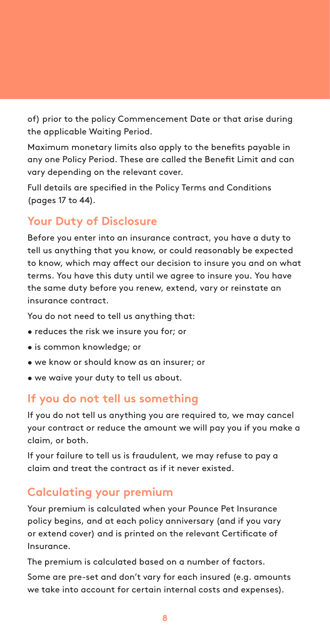of) prior to the policy Commencement Date or that arise during the applicable Waiting Period.

Maximum monetary limits also apply to the benefits payable in any one Policy Period. These are called the Benefit Limit and can vary depending on the relevant cover.

Full details are specified in the Policy Terms and Conditions (pages 17 to 44).

## **Your Duty of Disclosure**

Before you enter into an insurance contract, you have a duty to tell us anything that you know, or could reasonably be expected to know, which may affect our decision to insure you and on what terms. You have this duty until we agree to insure you. You have the same duty before you renew, extend, vary or reinstate an insurance contract.

You do not need to tell us anything that:

- reduces the risk we insure you for; or
- is common knowledge; or
- we know or should know as an insurer; or
- we waive your duty to tell us about.

### **If you do not tell us something**

If you do not tell us anything you are required to, we may cancel your contract or reduce the amount we will pay you if you make a claim, or both.

If your failure to tell us is fraudulent, we may refuse to pay a claim and treat the contract as if it never existed.

### **Calculating your premium**

Your premium is calculated when your Pounce Pet Insurance policy begins, and at each policy anniversary (and if you vary or extend cover) and is printed on the relevant Certificate of Insurance.

The premium is calculated based on a number of factors.

Some are pre-set and don't vary for each insured (e.g. amounts we take into account for certain internal costs and expenses).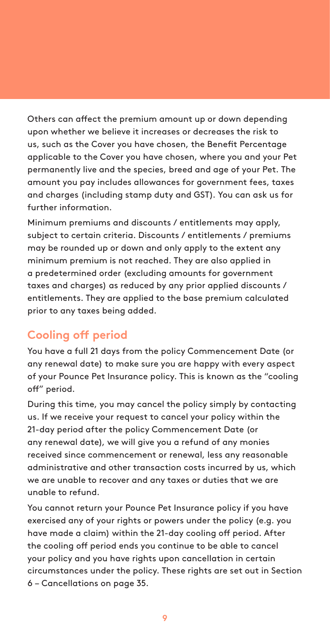Others can affect the premium amount up or down depending upon whether we believe it increases or decreases the risk to us, such as the Cover you have chosen, the Benefit Percentage applicable to the Cover you have chosen, where you and your Pet permanently live and the species, breed and age of your Pet. The amount you pay includes allowances for government fees, taxes and charges (including stamp duty and GST). You can ask us for further information.

Minimum premiums and discounts / entitlements may apply, subject to certain criteria. Discounts / entitlements / premiums may be rounded up or down and only apply to the extent any minimum premium is not reached. They are also applied in a predetermined order (excluding amounts for government taxes and charges) as reduced by any prior applied discounts / entitlements. They are applied to the base premium calculated prior to any taxes being added.

## **Cooling off period**

You have a full 21 days from the policy Commencement Date (or any renewal date) to make sure you are happy with every aspect of your Pounce Pet Insurance policy. This is known as the "cooling off" period.

During this time, you may cancel the policy simply by contacting us. If we receive your request to cancel your policy within the 21-day period after the policy Commencement Date (or any renewal date), we will give you a refund of any monies received since commencement or renewal, less any reasonable administrative and other transaction costs incurred by us, which we are unable to recover and any taxes or duties that we are unable to refund.

You cannot return your Pounce Pet Insurance policy if you have exercised any of your rights or powers under the policy (e.g. you have made a claim) within the 21-day cooling off period. After the cooling off period ends you continue to be able to cancel your policy and you have rights upon cancellation in certain circumstances under the policy. These rights are set out in Section 6 – Cancellations on page 35.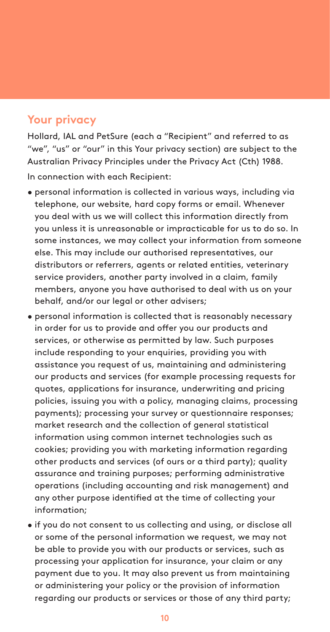## **Your privacy**

Hollard, IAL and PetSure (each a "Recipient" and referred to as "we", "us" or "our" in this Your privacy section) are subject to the Australian Privacy Principles under the Privacy Act (Cth) 1988.

In connection with each Recipient:

- personal information is collected in various ways, including via telephone, our website, hard copy forms or email. Whenever you deal with us we will collect this information directly from you unless it is unreasonable or impracticable for us to do so. In some instances, we may collect your information from someone else. This may include our authorised representatives, our distributors or referrers, agents or related entities, veterinary service providers, another party involved in a claim, family members, anyone you have authorised to deal with us on your behalf, and/or our legal or other advisers;
- personal information is collected that is reasonably necessary in order for us to provide and offer you our products and services, or otherwise as permitted by law. Such purposes include responding to your enquiries, providing you with assistance you request of us, maintaining and administering our products and services (for example processing requests for quotes, applications for insurance, underwriting and pricing policies, issuing you with a policy, managing claims, processing payments); processing your survey or questionnaire responses; market research and the collection of general statistical information using common internet technologies such as cookies; providing you with marketing information regarding other products and services (of ours or a third party); quality assurance and training purposes; performing administrative operations (including accounting and risk management) and any other purpose identified at the time of collecting your information;
- if you do not consent to us collecting and using, or disclose all or some of the personal information we request, we may not be able to provide you with our products or services, such as processing your application for insurance, your claim or any payment due to you. It may also prevent us from maintaining or administering your policy or the provision of information regarding our products or services or those of any third party;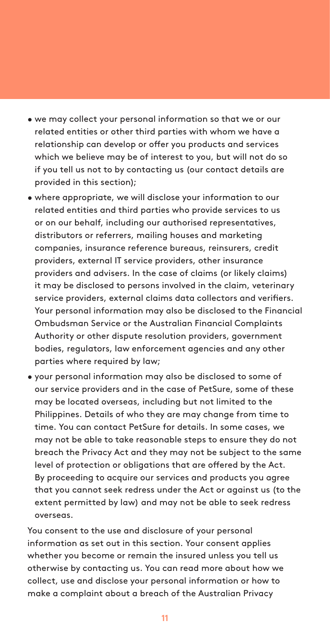- we may collect your personal information so that we or our related entities or other third parties with whom we have a relationship can develop or offer you products and services which we believe may be of interest to you, but will not do so if you tell us not to by contacting us (our contact details are provided in this section);
- where appropriate, we will disclose your information to our related entities and third parties who provide services to us or on our behalf, including our authorised representatives, distributors or referrers, mailing houses and marketing companies, insurance reference bureaus, reinsurers, credit providers, external IT service providers, other insurance providers and advisers. In the case of claims (or likely claims) it may be disclosed to persons involved in the claim, veterinary service providers, external claims data collectors and verifiers. Your personal information may also be disclosed to the Financial Ombudsman Service or the Australian Financial Complaints Authority or other dispute resolution providers, government bodies, regulators, law enforcement agencies and any other parties where required by law;
- your personal information may also be disclosed to some of our service providers and in the case of PetSure, some of these may be located overseas, including but not limited to the Philippines. Details of who they are may change from time to time. You can contact PetSure for details. In some cases, we may not be able to take reasonable steps to ensure they do not breach the Privacy Act and they may not be subject to the same level of protection or obligations that are offered by the Act. By proceeding to acquire our services and products you agree that you cannot seek redress under the Act or against us (to the extent permitted by law) and may not be able to seek redress overseas.

You consent to the use and disclosure of your personal information as set out in this section. Your consent applies whether you become or remain the insured unless you tell us otherwise by contacting us. You can read more about how we collect, use and disclose your personal information or how to make a complaint about a breach of the Australian Privacy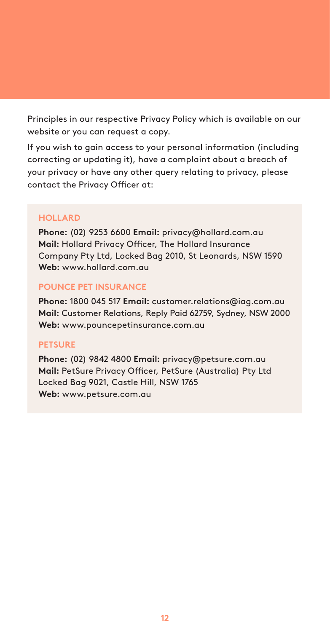Principles in our respective Privacy Policy which is available on our website or you can request a copy.

If you wish to gain access to your personal information (including correcting or updating it), have a complaint about a breach of your privacy or have any other query relating to privacy, please contact the Privacy Officer at:

#### **HOLLARD**

**Phone:** (02) 9253 6600 **Email:** privacy@hollard.com.au **Mail:** Hollard Privacy Officer, The Hollard Insurance Company Pty Ltd, Locked Bag 2010, St Leonards, NSW 1590 **Web:** www.hollard.com.au

#### **POUNCE PET INSURANCE**

**Phone:** 1800 045 517 **Email:** customer.relations@iag.com.au **Mail:** Customer Relations, Reply Paid 62759, Sydney, NSW 2000 **Web:** www.pouncepetinsurance.com.au

#### **PETSURE**

**Phone:** (02) 9842 4800 **Email:** privacy@petsure.com.au **Mail:** PetSure Privacy Officer, PetSure (Australia) Pty Ltd Locked Bag 9021, Castle Hill, NSW 1765 **Web:** www.petsure.com.au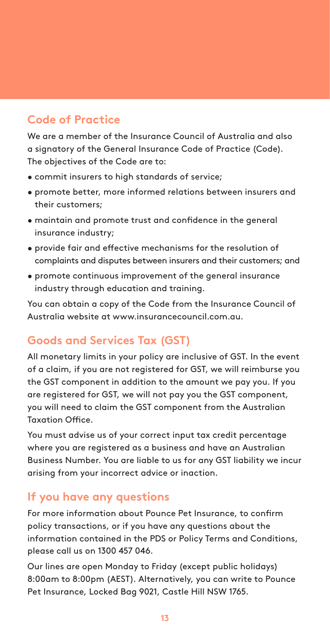## **Code of Practice**

We are a member of the Insurance Council of Australia and also a signatory of the General Insurance Code of Practice (Code). The objectives of the Code are to:

- commit insurers to high standards of service;
- promote better, more informed relations between insurers and their customers;
- maintain and promote trust and confidence in the general insurance industry;
- provide fair and effective mechanisms for the resolution of complaints and disputes between insurers and their customers; and
- promote continuous improvement of the general insurance industry through education and training.

You can obtain a copy of the Code from the Insurance Council of Australia website at www.insurancecouncil.com.au.

## **Goods and Services Tax (GST)**

All monetary limits in your policy are inclusive of GST. In the event of a claim, if you are not registered for GST, we will reimburse you the GST component in addition to the amount we pay you. If you are registered for GST, we will not pay you the GST component, you will need to claim the GST component from the Australian Taxation Office.

You must advise us of your correct input tax credit percentage where you are registered as a business and have an Australian Business Number. You are liable to us for any GST liability we incur arising from your incorrect advice or inaction.

### **If you have any questions**

For more information about Pounce Pet Insurance, to confirm policy transactions, or if you have any questions about the information contained in the PDS or Policy Terms and Conditions, please call us on 1300 457 046.

Our lines are open Monday to Friday (except public holidays) 8:00am to 8:00pm (AEST). Alternatively, you can write to Pounce Pet Insurance, Locked Bag 9021, Castle Hill NSW 1765.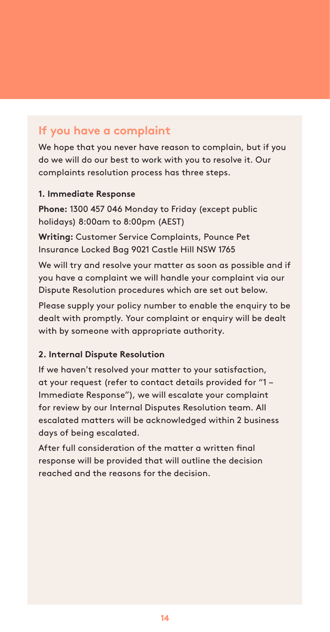## **If you have a complaint**

We hope that you never have reason to complain, but if you do we will do our best to work with you to resolve it. Our complaints resolution process has three steps.

#### **1. Immediate Response**

**Phone:** 1300 457 046 Monday to Friday (except public holidays) 8:00am to 8:00pm (AEST)

**Writing:** Customer Service Complaints, Pounce Pet Insurance Locked Bag 9021 Castle Hill NSW 1765

We will try and resolve your matter as soon as possible and if you have a complaint we will handle your complaint via our Dispute Resolution procedures which are set out below.

Please supply your policy number to enable the enquiry to be dealt with promptly. Your complaint or enquiry will be dealt with by someone with appropriate authority.

#### **2. Internal Dispute Resolution**

If we haven't resolved your matter to your satisfaction, at your request (refer to contact details provided for "1 – Immediate Response"), we will escalate your complaint for review by our Internal Disputes Resolution team. All escalated matters will be acknowledged within 2 business days of being escalated.

After full consideration of the matter a written final response will be provided that will outline the decision reached and the reasons for the decision.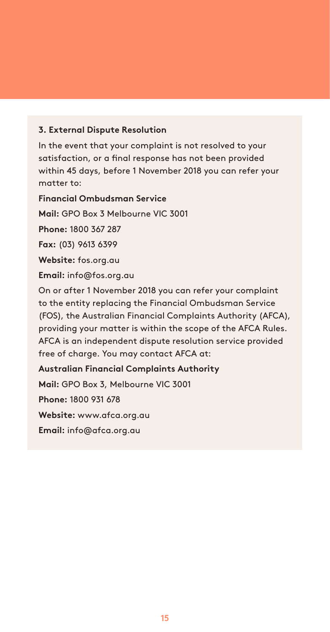#### **3. External Dispute Resolution**

In the event that your complaint is not resolved to your satisfaction, or a final response has not been provided within 45 days, before 1 November 2018 you can refer your matter to:

**Financial Ombudsman Service Mail:** GPO Box 3 Melbourne VIC 3001 **Phone:** 1800 367 287 **Fax:** (03) 9613 6399 **Website:** fos.org.au **Email:** info@fos.org.au On or after 1 November 2018 you can refer your complaint to the entity replacing the Financial Ombudsman Service (FOS), the Australian Financial Complaints Authority (AFCA), providing your matter is within the scope of the AFCA Rules. AFCA is an independent dispute resolution service provided free of charge. You may contact AFCA at: **Australian Financial Complaints Authority Mail:** GPO Box 3, Melbourne VIC 3001 **Phone:** 1800 931 678 **Website:** www.afca.org.au **Email:** info@afca.org.au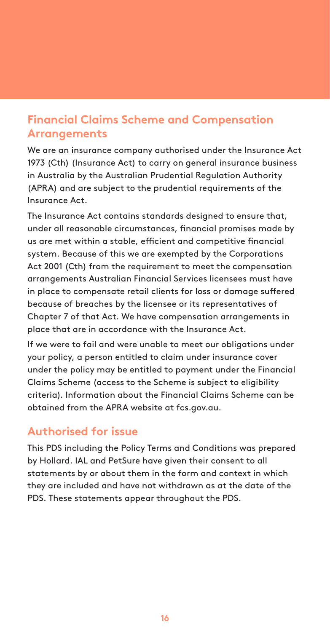## **Financial Claims Scheme and Compensation Arrangements**

We are an insurance company authorised under the Insurance Act 1973 (Cth) (Insurance Act) to carry on general insurance business in Australia by the Australian Prudential Regulation Authority (APRA) and are subject to the prudential requirements of the Insurance Act.

The Insurance Act contains standards designed to ensure that, under all reasonable circumstances, financial promises made by us are met within a stable, efficient and competitive financial system. Because of this we are exempted by the Corporations Act 2001 (Cth) from the requirement to meet the compensation arrangements Australian Financial Services licensees must have in place to compensate retail clients for loss or damage suffered because of breaches by the licensee or its representatives of Chapter 7 of that Act. We have compensation arrangements in place that are in accordance with the Insurance Act.

If we were to fail and were unable to meet our obligations under your policy, a person entitled to claim under insurance cover under the policy may be entitled to payment under the Financial Claims Scheme (access to the Scheme is subject to eligibility criteria). Information about the Financial Claims Scheme can be obtained from the APRA website at fcs.gov.au.

### **Authorised for issue**

This PDS including the Policy Terms and Conditions was prepared by Hollard. IAL and PetSure have given their consent to all statements by or about them in the form and context in which they are included and have not withdrawn as at the date of the PDS. These statements appear throughout the PDS.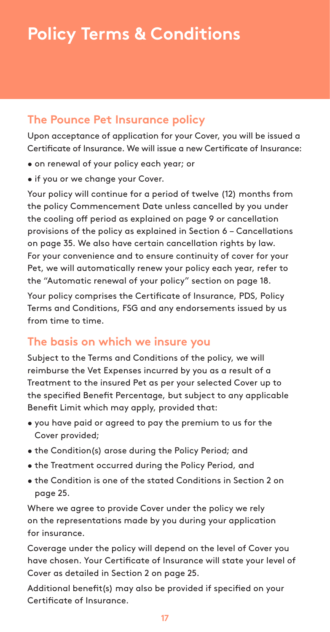## **The Pounce Pet Insurance policy**

Upon acceptance of application for your Cover, you will be issued a Certificate of Insurance. We will issue a new Certificate of Insurance:

- on renewal of your policy each year; or
- if you or we change your Cover.

Your policy will continue for a period of twelve (12) months from the policy Commencement Date unless cancelled by you under the cooling off period as explained on page 9 or cancellation provisions of the policy as explained in Section 6 – Cancellations on page 35. We also have certain cancellation rights by law. For your convenience and to ensure continuity of cover for your Pet, we will automatically renew your policy each year, refer to the "Automatic renewal of your policy" section on page 18.

Your policy comprises the Certificate of Insurance, PDS, Policy Terms and Conditions, FSG and any endorsements issued by us from time to time.

## **The basis on which we insure you**

Subject to the Terms and Conditions of the policy, we will reimburse the Vet Expenses incurred by you as a result of a Treatment to the insured Pet as per your selected Cover up to the specified Benefit Percentage, but subject to any applicable Benefit Limit which may apply, provided that:

- you have paid or agreed to pay the premium to us for the Cover provided;
- the Condition(s) arose during the Policy Period; and
- the Treatment occurred during the Policy Period, and
- the Condition is one of the stated Conditions in Section 2 on page 25.

Where we agree to provide Cover under the policy we rely on the representations made by you during your application for insurance.

Coverage under the policy will depend on the level of Cover you have chosen. Your Certificate of Insurance will state your level of Cover as detailed in Section 2 on page 25.

Additional benefit(s) may also be provided if specified on your Certificate of Insurance.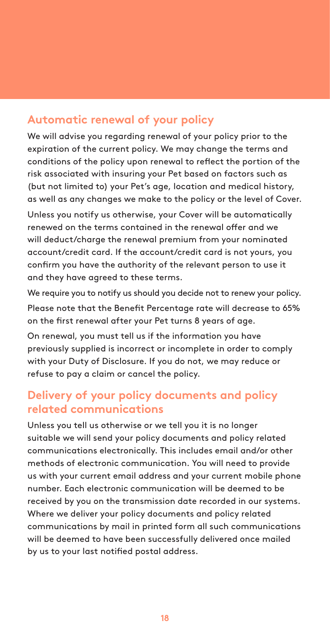### **Automatic renewal of your policy**

We will advise you regarding renewal of your policy prior to the expiration of the current policy. We may change the terms and conditions of the policy upon renewal to reflect the portion of the risk associated with insuring your Pet based on factors such as (but not limited to) your Pet's age, location and medical history, as well as any changes we make to the policy or the level of Cover.

Unless you notify us otherwise, your Cover will be automatically renewed on the terms contained in the renewal offer and we will deduct/charge the renewal premium from your nominated account/credit card. If the account/credit card is not yours, you confirm you have the authority of the relevant person to use it and they have agreed to these terms.

We require you to notify us should you decide not to renew your policy. Please note that the Benefit Percentage rate will decrease to 65% on the first renewal after your Pet turns 8 years of age.

On renewal, you must tell us if the information you have previously supplied is incorrect or incomplete in order to comply with your Duty of Disclosure. If you do not, we may reduce or refuse to pay a claim or cancel the policy.

## **Delivery of your policy documents and policy related communications**

Unless you tell us otherwise or we tell you it is no longer suitable we will send your policy documents and policy related communications electronically. This includes email and/or other methods of electronic communication. You will need to provide us with your current email address and your current mobile phone number. Each electronic communication will be deemed to be received by you on the transmission date recorded in our systems. Where we deliver your policy documents and policy related communications by mail in printed form all such communications will be deemed to have been successfully delivered once mailed by us to your last notified postal address.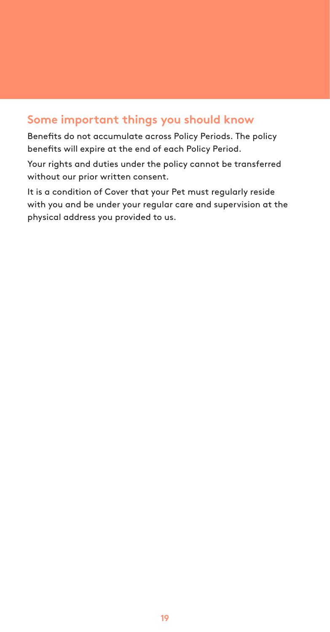### **Some important things you should know**

Benefits do not accumulate across Policy Periods. The policy benefits will expire at the end of each Policy Period.

Your rights and duties under the policy cannot be transferred without our prior written consent.

It is a condition of Cover that your Pet must regularly reside with you and be under your regular care and supervision at the physical address you provided to us.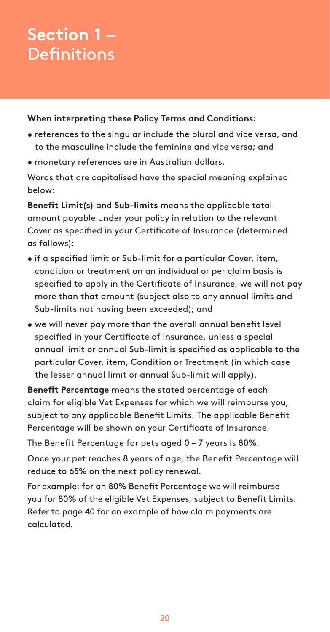## **Section 1 – Definitions**

#### **When interpreting these Policy Terms and Conditions:**

- references to the singular include the plural and vice versa, and to the masculine include the feminine and vice versa; and
- monetary references are in Australian dollars.

Words that are capitalised have the special meaning explained below:

**Benefit Limit(s)** and **Sub-limits** means the applicable total amount payable under your policy in relation to the relevant Cover as specified in your Certificate of Insurance (determined as follows):

- if a specified limit or Sub-limit for a particular Cover, item, condition or treatment on an individual or per claim basis is specified to apply in the Certificate of Insurance, we will not pay more than that amount (subject also to any annual limits and Sub-limits not having been exceeded); and
- we will never pay more than the overall annual benefit level specified in your Certificate of Insurance, unless a special annual limit or annual Sub-limit is specified as applicable to the particular Cover, item, Condition or Treatment (in which case the lesser annual limit or annual Sub-limit will apply).

**Benefit Percentage** means the stated percentage of each claim for eligible Vet Expenses for which we will reimburse you, subject to any applicable Benefit Limits. The applicable Benefit Percentage will be shown on your Certificate of Insurance.

The Benefit Percentage for pets aged 0 – 7 years is 80%.

Once your pet reaches 8 years of age, the Benefit Percentage will reduce to 65% on the next policy renewal.

For example: for an 80% Benefit Percentage we will reimburse you for 80% of the eligible Vet Expenses, subject to Benefit Limits. Refer to page 40 for an example of how claim payments are calculated.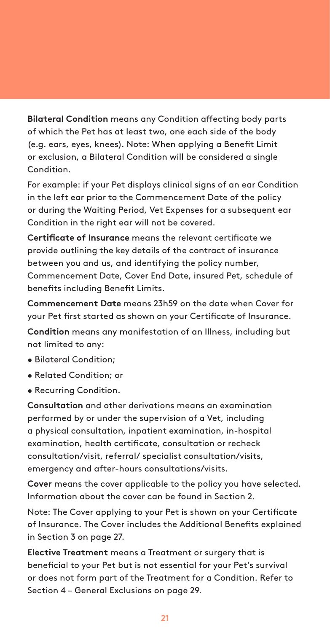**Bilateral Condition** means any Condition affecting body parts of which the Pet has at least two, one each side of the body (e.g. ears, eyes, knees). Note: When applying a Benefit Limit or exclusion, a Bilateral Condition will be considered a single Condition.

For example: if your Pet displays clinical signs of an ear Condition in the left ear prior to the Commencement Date of the policy or during the Waiting Period, Vet Expenses for a subsequent ear Condition in the right ear will not be covered.

**Certificate of Insurance** means the relevant certificate we provide outlining the key details of the contract of insurance between you and us, and identifying the policy number, Commencement Date, Cover End Date, insured Pet, schedule of benefits including Benefit Limits.

**Commencement Date** means 23h59 on the date when Cover for your Pet first started as shown on your Certificate of Insurance.

**Condition** means any manifestation of an Illness, including but not limited to any:

- Bilateral Condition;
- Related Condition; or
- Recurring Condition.

**Consultation** and other derivations means an examination performed by or under the supervision of a Vet, including a physical consultation, inpatient examination, in-hospital examination, health certificate, consultation or recheck consultation/visit, referral/ specialist consultation/visits, emergency and after-hours consultations/visits.

**Cover** means the cover applicable to the policy you have selected. Information about the cover can be found in Section 2.

Note: The Cover applying to your Pet is shown on your Certificate of Insurance. The Cover includes the Additional Benefits explained in Section 3 on page 27.

**Elective Treatment** means a Treatment or surgery that is beneficial to your Pet but is not essential for your Pet's survival or does not form part of the Treatment for a Condition. Refer to Section 4 – General Exclusions on page 29.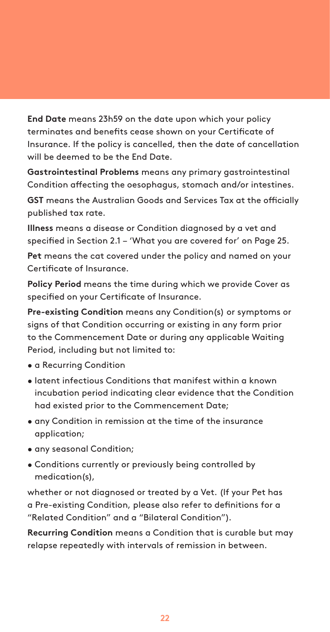**End Date** means 23h59 on the date upon which your policy terminates and benefits cease shown on your Certificate of Insurance. If the policy is cancelled, then the date of cancellation will be deemed to be the End Date.

**Gastrointestinal Problems** means any primary gastrointestinal Condition affecting the oesophagus, stomach and/or intestines.

**GST** means the Australian Goods and Services Tax at the officially published tax rate.

**Illness** means a disease or Condition diagnosed by a vet and specified in Section 2.1 – 'What you are covered for' on Page 25.

**Pet** means the cat covered under the policy and named on your Certificate of Insurance.

**Policy Period** means the time during which we provide Cover as specified on your Certificate of Insurance.

**Pre-existing Condition** means any Condition(s) or symptoms or signs of that Condition occurring or existing in any form prior to the Commencement Date or during any applicable Waiting Period, including but not limited to:

- a Recurring Condition
- latent infectious Conditions that manifest within a known incubation period indicating clear evidence that the Condition had existed prior to the Commencement Date;
- any Condition in remission at the time of the insurance application;
- any seasonal Condition;
- Conditions currently or previously being controlled by medication(s),

whether or not diagnosed or treated by a Vet. (If your Pet has a Pre-existing Condition, please also refer to definitions for a "Related Condition" and a "Bilateral Condition").

**Recurring Condition** means a Condition that is curable but may relapse repeatedly with intervals of remission in between.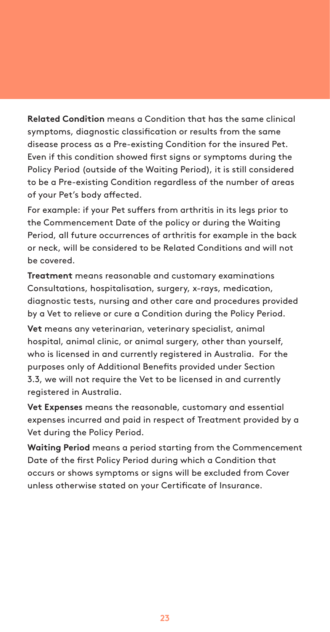**Related Condition** means a Condition that has the same clinical symptoms, diagnostic classification or results from the same disease process as a Pre-existing Condition for the insured Pet. Even if this condition showed first signs or symptoms during the Policy Period (outside of the Waiting Period), it is still considered to be a Pre-existing Condition regardless of the number of areas of your Pet's body affected.

For example: if your Pet suffers from arthritis in its legs prior to the Commencement Date of the policy or during the Waiting Period, all future occurrences of arthritis for example in the back or neck, will be considered to be Related Conditions and will not be covered.

**Treatment** means reasonable and customary examinations Consultations, hospitalisation, surgery, x-rays, medication, diagnostic tests, nursing and other care and procedures provided by a Vet to relieve or cure a Condition during the Policy Period.

**Vet** means any veterinarian, veterinary specialist, animal hospital, animal clinic, or animal surgery, other than yourself, who is licensed in and currently registered in Australia. For the purposes only of Additional Benefits provided under Section 3.3, we will not require the Vet to be licensed in and currently registered in Australia.

**Vet Expenses** means the reasonable, customary and essential expenses incurred and paid in respect of Treatment provided by a Vet during the Policy Period.

**Waiting Period** means a period starting from the Commencement Date of the first Policy Period during which a Condition that occurs or shows symptoms or signs will be excluded from Cover unless otherwise stated on your Certificate of Insurance.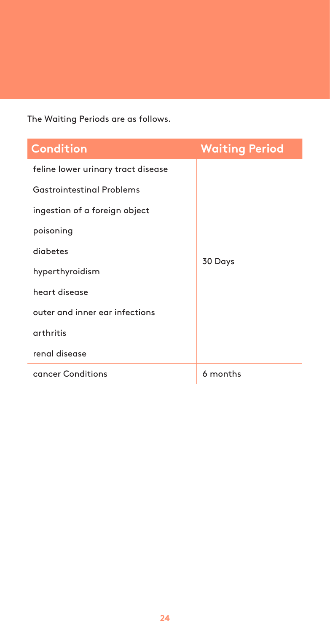The Waiting Periods are as follows.

| <b>Condition</b>                   | <b>Waiting Period</b> |
|------------------------------------|-----------------------|
| feline lower urinary tract disease |                       |
| <b>Gastrointestinal Problems</b>   |                       |
| ingestion of a foreign object      |                       |
| poisoning                          | 30 Days               |
| diabetes                           |                       |
| hyperthyroidism                    |                       |
| heart disease                      |                       |
| outer and inner ear infections     |                       |
| arthritis                          |                       |
| renal disease                      |                       |
| cancer Conditions                  | 6 months              |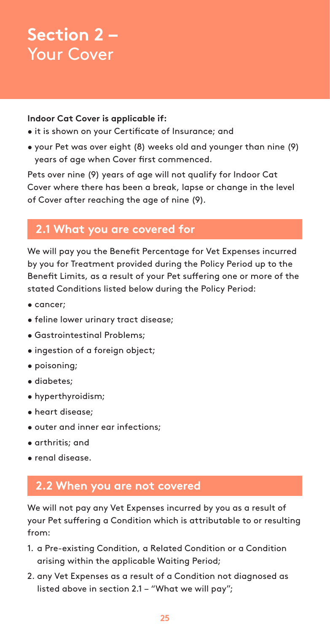## **Section 2 –** Your Cover

#### **Indoor Cat Cover is applicable if:**

- it is shown on your Certificate of Insurance; and
- your Pet was over eight (8) weeks old and younger than nine (9) years of age when Cover first commenced.

Pets over nine (9) years of age will not qualify for Indoor Cat Cover where there has been a break, lapse or change in the level of Cover after reaching the age of nine (9).

## **2.1 What you are covered for**

We will pay you the Benefit Percentage for Vet Expenses incurred by you for Treatment provided during the Policy Period up to the Benefit Limits, as a result of your Pet suffering one or more of the stated Conditions listed below during the Policy Period:

- cancer;
- feline lower urinary tract disease;
- Gastrointestinal Problems;
- ingestion of a foreign object;
- poisoning;
- diabetes;
- hyperthyroidism;
- heart disease;
- outer and inner ear infections;
- arthritis; and
- renal disease.

### **2.2 When you are not covered**

We will not pay any Vet Expenses incurred by you as a result of your Pet suffering a Condition which is attributable to or resulting from:

- 1. a Pre-existing Condition, a Related Condition or a Condition arising within the applicable Waiting Period;
- 2. any Vet Expenses as a result of a Condition not diagnosed as listed above in section 2.1 – "What we will pay";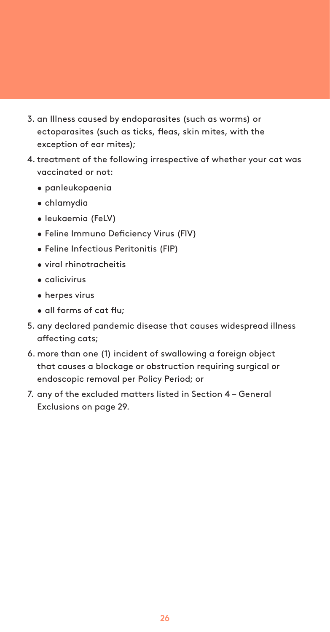- 3. an Illness caused by endoparasites (such as worms) or ectoparasites (such as ticks, fleas, skin mites, with the exception of ear mites);
- 4. treatment of the following irrespective of whether your cat was vaccinated or not:
	- panleukopaenia
	- chlamydia
	- leukaemia (FeLV)
	- Feline Immuno Deficiency Virus (FIV)
	- Feline Infectious Peritonitis (FIP)
	- viral rhinotracheitis
	- calicivirus
	- herpes virus
	- all forms of cat flu;
- 5. any declared pandemic disease that causes widespread illness affecting cats;
- 6. more than one (1) incident of swallowing a foreign object that causes a blockage or obstruction requiring surgical or endoscopic removal per Policy Period; or
- 7. any of the excluded matters listed in Section 4 General Exclusions on page 29.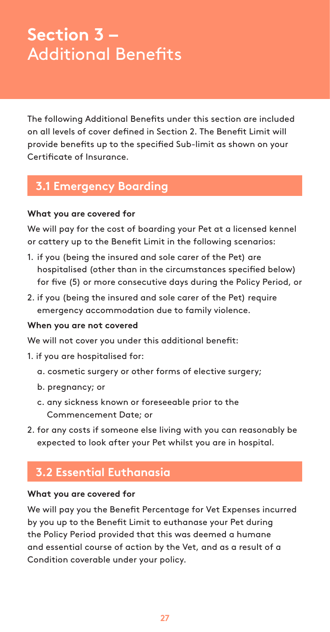## **Section 3 –** Additional Benefits

The following Additional Benefits under this section are included on all levels of cover defined in Section 2. The Benefit Limit will provide benefits up to the specified Sub-limit as shown on your Certificate of Insurance.

## **3.1 Emergency Boarding**

#### **What you are covered for**

We will pay for the cost of boarding your Pet at a licensed kennel or cattery up to the Benefit Limit in the following scenarios:

- 1. if you (being the insured and sole carer of the Pet) are hospitalised (other than in the circumstances specified below) for five (5) or more consecutive days during the Policy Period, or
- 2. if you (being the insured and sole carer of the Pet) require emergency accommodation due to family violence.

#### **When you are not covered**

We will not cover you under this additional benefit:

- 1. if you are hospitalised for:
	- a. cosmetic surgery or other forms of elective surgery;
	- b. pregnancy; or
	- c. any sickness known or foreseeable prior to the Commencement Date; or
- 2. for any costs if someone else living with you can reasonably be expected to look after your Pet whilst you are in hospital.

### **3.2 Essential Euthanasia**

#### **What you are covered for**

We will pay you the Benefit Percentage for Vet Expenses incurred by you up to the Benefit Limit to euthanase your Pet during the Policy Period provided that this was deemed a humane and essential course of action by the Vet, and as a result of a Condition coverable under your policy.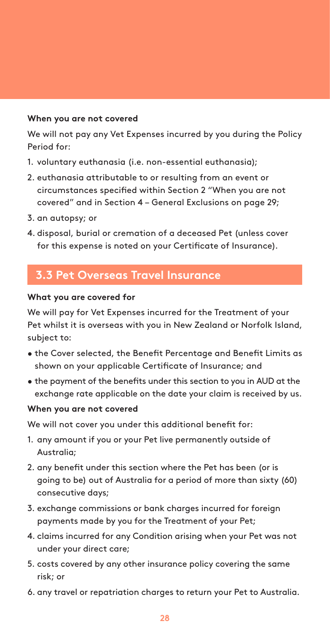#### **When you are not covered**

We will not pay any Vet Expenses incurred by you during the Policy Period for:

- 1. voluntary euthanasia (i.e. non-essential euthanasia);
- 2. euthanasia attributable to or resulting from an event or circumstances specified within Section 2 "When you are not covered" and in Section 4 – General Exclusions on page 29;
- 3. an autopsy; or
- 4. disposal, burial or cremation of a deceased Pet (unless cover for this expense is noted on your Certificate of Insurance).

## **3.3 Pet Overseas Travel Insurance**

#### **What you are covered for**

We will pay for Vet Expenses incurred for the Treatment of your Pet whilst it is overseas with you in New Zealand or Norfolk Island, subject to:

- the Cover selected, the Benefit Percentage and Benefit Limits as shown on your applicable Certificate of Insurance; and
- the payment of the benefits under this section to you in AUD at the exchange rate applicable on the date your claim is received by us.

#### **When you are not covered**

We will not cover you under this additional benefit for:

- 1. any amount if you or your Pet live permanently outside of Australia;
- 2. any benefit under this section where the Pet has been (or is going to be) out of Australia for a period of more than sixty (60) consecutive days;
- 3. exchange commissions or bank charges incurred for foreign payments made by you for the Treatment of your Pet;
- 4. claims incurred for any Condition arising when your Pet was not under your direct care;
- 5. costs covered by any other insurance policy covering the same risk; or
- 6. any travel or repatriation charges to return your Pet to Australia.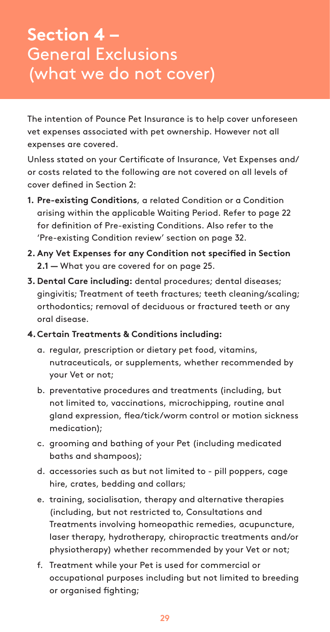## **Section 4 –** General Exclusions (what we do not cover)

The intention of Pounce Pet Insurance is to help cover unforeseen vet expenses associated with pet ownership. However not all expenses are covered.

Unless stated on your Certificate of Insurance, Vet Expenses and/ or costs related to the following are not covered on all levels of cover defined in Section 2:

- **1. Pre-existing Conditions**, a related Condition or a Condition arising within the applicable Waiting Period. Refer to page 22 for definition of Pre-existing Conditions. Also refer to the 'Pre-existing Condition review' section on page 32.
- **2. Any Vet Expenses for any Condition not specified in Section 2.1 —** What you are covered for on page 25.
- **3. Dental Care including:** dental procedures; dental diseases; gingivitis; Treatment of teeth fractures; teeth cleaning/scaling; orthodontics; removal of deciduous or fractured teeth or any oral disease.
- **4.Certain Treatments & Conditions including:**
	- a. regular, prescription or dietary pet food, vitamins, nutraceuticals, or supplements, whether recommended by your Vet or not;
	- b. preventative procedures and treatments (including, but not limited to, vaccinations, microchipping, routine anal gland expression, flea/tick/worm control or motion sickness medication);
	- c. grooming and bathing of your Pet (including medicated baths and shampoos);
	- d. accessories such as but not limited to pill poppers, cage hire, crates, bedding and collars;
	- e. training, socialisation, therapy and alternative therapies (including, but not restricted to, Consultations and Treatments involving homeopathic remedies, acupuncture, laser therapy, hydrotherapy, chiropractic treatments and/or physiotherapy) whether recommended by your Vet or not;
	- f. Treatment while your Pet is used for commercial or occupational purposes including but not limited to breeding or organised fighting;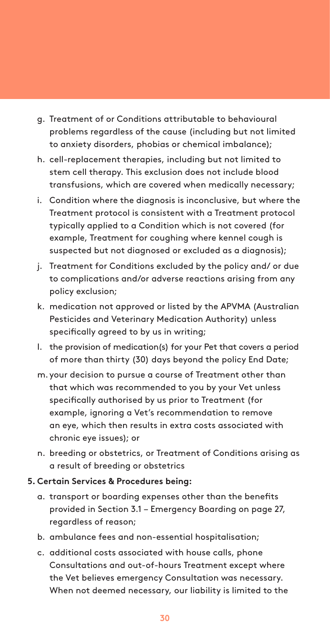- g. Treatment of or Conditions attributable to behavioural problems regardless of the cause (including but not limited to anxiety disorders, phobias or chemical imbalance);
- h. cell-replacement therapies, including but not limited to stem cell therapy. This exclusion does not include blood transfusions, which are covered when medically necessary;
- i. Condition where the diagnosis is inconclusive, but where the Treatment protocol is consistent with a Treatment protocol typically applied to a Condition which is not covered (for example, Treatment for coughing where kennel cough is suspected but not diagnosed or excluded as a diagnosis);
- j. Treatment for Conditions excluded by the policy and/ or due to complications and/or adverse reactions arising from any policy exclusion;
- k. medication not approved or listed by the APVMA (Australian Pesticides and Veterinary Medication Authority) unless specifically agreed to by us in writing;
- l. the provision of medication(s) for your Pet that covers a period of more than thirty (30) days beyond the policy End Date;
- m. your decision to pursue a course of Treatment other than that which was recommended to you by your Vet unless specifically authorised by us prior to Treatment (for example, ignoring a Vet's recommendation to remove an eye, which then results in extra costs associated with chronic eye issues); or
- n. breeding or obstetrics, or Treatment of Conditions arising as a result of breeding or obstetrics

#### **5. Certain Services & Procedures being:**

- a. transport or boarding expenses other than the benefits provided in Section 3.1 – Emergency Boarding on page 27, regardless of reason;
- b. ambulance fees and non-essential hospitalisation;
- c. additional costs associated with house calls, phone Consultations and out-of-hours Treatment except where the Vet believes emergency Consultation was necessary. When not deemed necessary, our liability is limited to the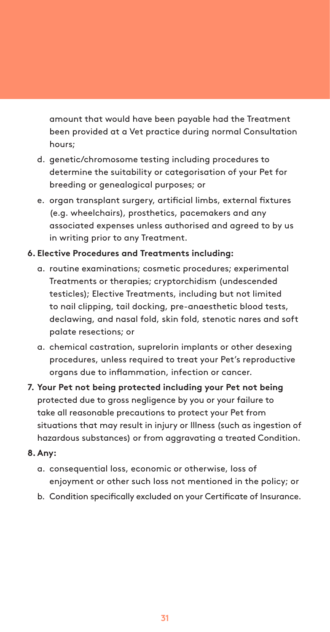amount that would have been payable had the Treatment been provided at a Vet practice during normal Consultation hours;

- d. genetic/chromosome testing including procedures to determine the suitability or categorisation of your Pet for breeding or genealogical purposes; or
- e. organ transplant surgery, artificial limbs, external fixtures (e.g. wheelchairs), prosthetics, pacemakers and any associated expenses unless authorised and agreed to by us in writing prior to any Treatment.

#### **6. Elective Procedures and Treatments including:**

- a. routine examinations; cosmetic procedures; experimental Treatments or therapies; cryptorchidism (undescended testicles); Elective Treatments, including but not limited to nail clipping, tail docking, pre-anaesthetic blood tests, declawing, and nasal fold, skin fold, stenotic nares and soft palate resections; or
- a. chemical castration, suprelorin implants or other desexing procedures, unless required to treat your Pet's reproductive organs due to inflammation, infection or cancer.
- **7. Your Pet not being protected including your Pet not being**  protected due to gross negligence by you or your failure to take all reasonable precautions to protect your Pet from situations that may result in injury or Illness (such as ingestion of hazardous substances) or from aggravating a treated Condition.

#### **8.Any:**

- a. consequential loss, economic or otherwise, loss of enjoyment or other such loss not mentioned in the policy; or
- b. Condition specifically excluded on your Certificate of Insurance.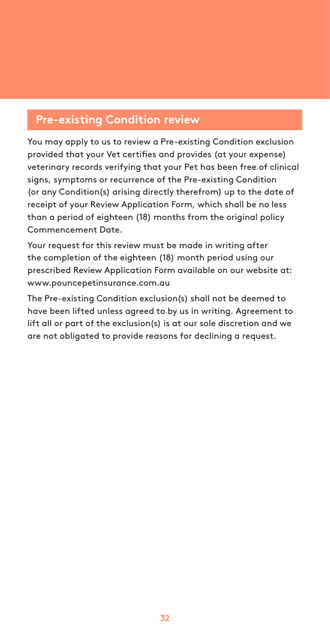## **Pre-existing Condition review**

You may apply to us to review a Pre-existing Condition exclusion provided that your Vet certifies and provides (at your expense) veterinary records verifying that your Pet has been free of clinical signs, symptoms or recurrence of the Pre-existing Condition (or any Condition(s) arising directly therefrom) up to the date of receipt of your Review Application Form, which shall be no less than a period of eighteen (18) months from the original policy Commencement Date.

Your request for this review must be made in writing after the completion of the eighteen (18) month period using our prescribed Review Application Form available on our website at: www.pouncepetinsurance.com.au

The Pre-existing Condition exclusion(s) shall not be deemed to have been lifted unless agreed to by us in writing. Agreement to lift all or part of the exclusion(s) is at our sole discretion and we are not obligated to provide reasons for declining a request.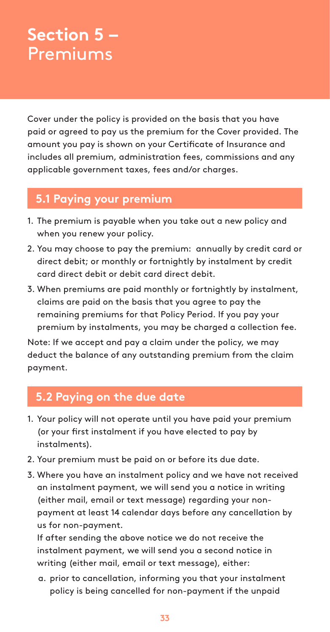## **Section 5 –** Premiums

Cover under the policy is provided on the basis that you have paid or agreed to pay us the premium for the Cover provided. The amount you pay is shown on your Certificate of Insurance and includes all premium, administration fees, commissions and any applicable government taxes, fees and/or charges.

## **5.1 Paying your premium**

- 1. The premium is payable when you take out a new policy and when you renew your policy.
- 2. You may choose to pay the premium: annually by credit card or direct debit; or monthly or fortnightly by instalment by credit card direct debit or debit card direct debit.
- 3. When premiums are paid monthly or fortnightly by instalment, claims are paid on the basis that you agree to pay the remaining premiums for that Policy Period. If you pay your premium by instalments, you may be charged a collection fee.

Note: If we accept and pay a claim under the policy, we may deduct the balance of any outstanding premium from the claim payment.

## **5.2 Paying on the due date**

- 1. Your policy will not operate until you have paid your premium (or your first instalment if you have elected to pay by instalments).
- 2. Your premium must be paid on or before its due date.
- 3. Where you have an instalment policy and we have not received an instalment payment, we will send you a notice in writing (either mail, email or text message) regarding your nonpayment at least 14 calendar days before any cancellation by us for non-payment.

If after sending the above notice we do not receive the instalment payment, we will send you a second notice in writing (either mail, email or text message), either:

a. prior to cancellation, informing you that your instalment policy is being cancelled for non-payment if the unpaid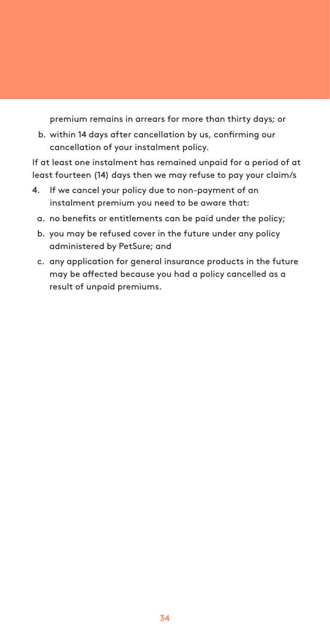premium remains in arrears for more than thirty days; or

b. within 14 days after cancellation by us, confirming our cancellation of your instalment policy.

If at least one instalment has remained unpaid for a period of at least fourteen (14) days then we may refuse to pay your claim/s

- 4. If we cancel your policy due to non-payment of an instalment premium you need to be aware that:
	- a. no benefits or entitlements can be paid under the policy;
	- b. you may be refused cover in the future under any policy administered by PetSure; and
	- c. any application for general insurance products in the future may be affected because you had a policy cancelled as a result of unpaid premiums.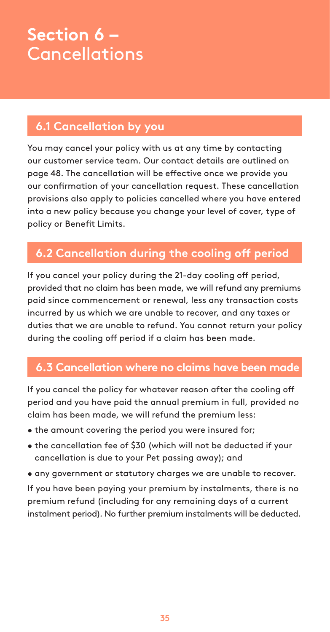## **Section 6 – Cancellations**

## **6.1 Cancellation by you**

You may cancel your policy with us at any time by contacting our customer service team. Our contact details are outlined on page 48. The cancellation will be effective once we provide you our confirmation of your cancellation request. These cancellation provisions also apply to policies cancelled where you have entered into a new policy because you change your level of cover, type of policy or Benefit Limits.

## **6.2 Cancellation during the cooling off period**

If you cancel your policy during the 21-day cooling off period, provided that no claim has been made, we will refund any premiums paid since commencement or renewal, less any transaction costs incurred by us which we are unable to recover, and any taxes or duties that we are unable to refund. You cannot return your policy during the cooling off period if a claim has been made.

## **6.3 Cancellation where no claims have been made**

If you cancel the policy for whatever reason after the cooling off period and you have paid the annual premium in full, provided no claim has been made, we will refund the premium less:

- the amount covering the period you were insured for;
- the cancellation fee of \$30 (which will not be deducted if your cancellation is due to your Pet passing away); and
- any government or statutory charges we are unable to recover.

If you have been paying your premium by instalments, there is no premium refund (including for any remaining days of a current instalment period). No further premium instalments will be deducted.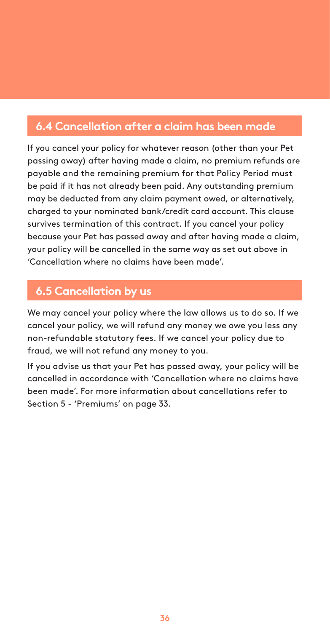## **6.4 Cancellation after a claim has been made**

If you cancel your policy for whatever reason (other than your Pet passing away) after having made a claim, no premium refunds are payable and the remaining premium for that Policy Period must be paid if it has not already been paid. Any outstanding premium may be deducted from any claim payment owed, or alternatively, charged to your nominated bank/credit card account. This clause survives termination of this contract. If you cancel your policy because your Pet has passed away and after having made a claim, your policy will be cancelled in the same way as set out above in 'Cancellation where no claims have been made'.

## **6.5 Cancellation by us**

We may cancel your policy where the law allows us to do so. If we cancel your policy, we will refund any money we owe you less any non-refundable statutory fees. If we cancel your policy due to fraud, we will not refund any money to you.

If you advise us that your Pet has passed away, your policy will be cancelled in accordance with 'Cancellation where no claims have been made'. For more information about cancellations refer to Section 5 - 'Premiums' on page 33.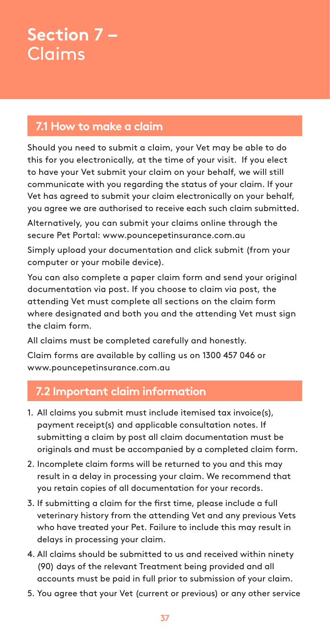## **Section 7 –** Claims

## **7.1 How to make a claim**

Should you need to submit a claim, your Vet may be able to do this for you electronically, at the time of your visit. If you elect to have your Vet submit your claim on your behalf, we will still communicate with you regarding the status of your claim. If your Vet has agreed to submit your claim electronically on your behalf, you agree we are authorised to receive each such claim submitted.

Alternatively, you can submit your claims online through the secure Pet Portal: www.pouncepetinsurance.com.au

Simply upload your documentation and click submit (from your computer or your mobile device).

You can also complete a paper claim form and send your original documentation via post. If you choose to claim via post, the attending Vet must complete all sections on the claim form where designated and both you and the attending Vet must sign the claim form.

All claims must be completed carefully and honestly. Claim forms are available by calling us on 1300 457 046 or www.pouncepetinsurance.com.au

## **7.2 Important claim information**

- 1. All claims you submit must include itemised tax invoice(s), payment receipt(s) and applicable consultation notes. If submitting a claim by post all claim documentation must be originals and must be accompanied by a completed claim form.
- 2. Incomplete claim forms will be returned to you and this may result in a delay in processing your claim. We recommend that you retain copies of all documentation for your records.
- 3. If submitting a claim for the first time, please include a full veterinary history from the attending Vet and any previous Vets who have treated your Pet. Failure to include this may result in delays in processing your claim.
- 4. All claims should be submitted to us and received within ninety (90) days of the relevant Treatment being provided and all accounts must be paid in full prior to submission of your claim.
- 5. You agree that your Vet (current or previous) or any other service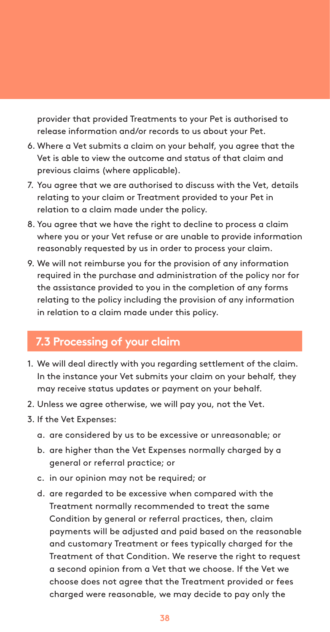provider that provided Treatments to your Pet is authorised to release information and/or records to us about your Pet.

- 6. Where a Vet submits a claim on your behalf, you agree that the Vet is able to view the outcome and status of that claim and previous claims (where applicable).
- 7. You agree that we are authorised to discuss with the Vet, details relating to your claim or Treatment provided to your Pet in relation to a claim made under the policy.
- 8. You agree that we have the right to decline to process a claim where you or your Vet refuse or are unable to provide information reasonably requested by us in order to process your claim.
- 9. We will not reimburse you for the provision of any information required in the purchase and administration of the policy nor for the assistance provided to you in the completion of any forms relating to the policy including the provision of any information in relation to a claim made under this policy.

### **7.3 Processing of your claim**

- 1. We will deal directly with you regarding settlement of the claim. In the instance your Vet submits your claim on your behalf, they may receive status updates or payment on your behalf.
- 2. Unless we agree otherwise, we will pay you, not the Vet.
- 3. If the Vet Expenses:
	- a. are considered by us to be excessive or unreasonable; or
	- b. are higher than the Vet Expenses normally charged by a general or referral practice; or
	- c. in our opinion may not be required; or
	- d. are regarded to be excessive when compared with the Treatment normally recommended to treat the same Condition by general or referral practices, then, claim payments will be adjusted and paid based on the reasonable and customary Treatment or fees typically charged for the Treatment of that Condition. We reserve the right to request a second opinion from a Vet that we choose. If the Vet we choose does not agree that the Treatment provided or fees charged were reasonable, we may decide to pay only the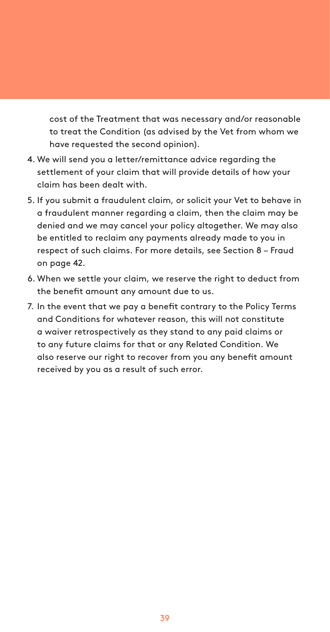cost of the Treatment that was necessary and/or reasonable to treat the Condition (as advised by the Vet from whom we have requested the second opinion).

- 4. We will send you a letter/remittance advice regarding the settlement of your claim that will provide details of how your claim has been dealt with.
- 5. If you submit a fraudulent claim, or solicit your Vet to behave in a fraudulent manner regarding a claim, then the claim may be denied and we may cancel your policy altogether. We may also be entitled to reclaim any payments already made to you in respect of such claims. For more details, see Section 8 – Fraud on page 42.
- 6. When we settle your claim, we reserve the right to deduct from the benefit amount any amount due to us.
- 7. In the event that we pay a benefit contrary to the Policy Terms and Conditions for whatever reason, this will not constitute a waiver retrospectively as they stand to any paid claims or to any future claims for that or any Related Condition. We also reserve our right to recover from you any benefit amount received by you as a result of such error.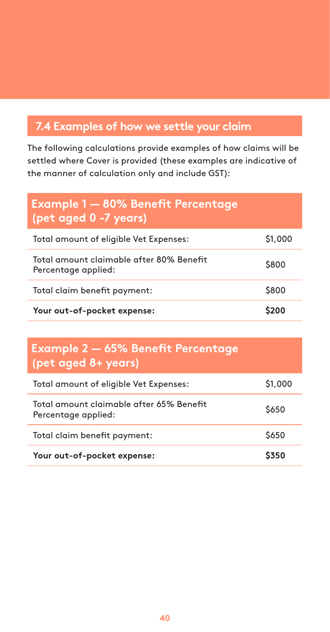## **7.4 Examples of how we settle your claim**

The following calculations provide examples of how claims will be settled where Cover is provided (these examples are indicative of the manner of calculation only and include GST):

| <b>Example 1 - 80% Benefit Percentage</b><br>(pet aged $\overline{0}$ -7 years) |         |
|---------------------------------------------------------------------------------|---------|
| Total amount of eligible Vet Expenses:                                          | \$1,000 |
| Total amount claimable after 80% Benefit<br>Percentage applied:                 | \$800   |
| Total claim benefit payment:                                                    | \$800   |
| Your out-of-pocket expense:                                                     |         |

## **Example 2 — 65% Benefit Percentage (pet aged 8+ years)**

| Total amount of eligible Vet Expenses:                          | \$1,000 |
|-----------------------------------------------------------------|---------|
| Total amount claimable after 65% Benefit<br>Percentage applied: | \$650   |
| Total claim benefit payment:                                    | \$650   |
| Your out-of-pocket expense:                                     | \$350   |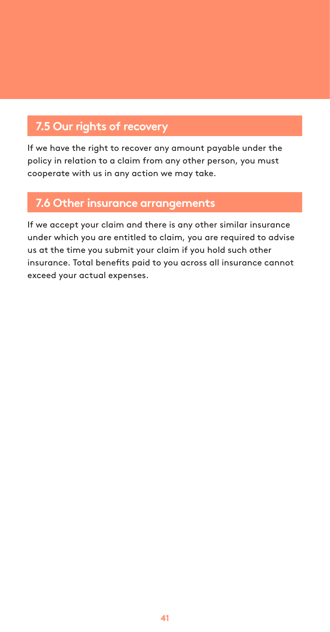## **7.5 Our rights of recovery**

If we have the right to recover any amount payable under the policy in relation to a claim from any other person, you must cooperate with us in any action we may take.

## **7.6 Other insurance arrangements**

If we accept your claim and there is any other similar insurance under which you are entitled to claim, you are required to advise us at the time you submit your claim if you hold such other insurance. Total benefits paid to you across all insurance cannot exceed your actual expenses.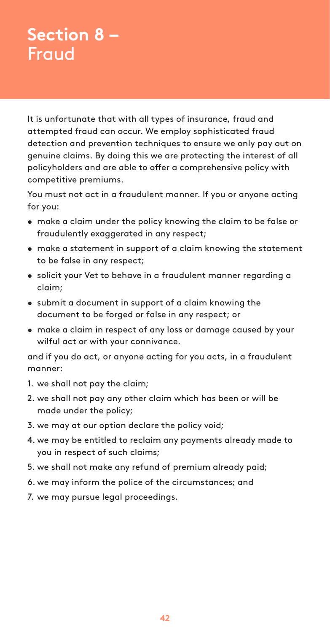## **Section 8 –** Fraud

It is unfortunate that with all types of insurance, fraud and attempted fraud can occur. We employ sophisticated fraud detection and prevention techniques to ensure we only pay out on genuine claims. By doing this we are protecting the interest of all policyholders and are able to offer a comprehensive policy with competitive premiums.

You must not act in a fraudulent manner. If you or anyone acting for you:

- make a claim under the policy knowing the claim to be false or fraudulently exaggerated in any respect;
- make a statement in support of a claim knowing the statement to be false in any respect;
- solicit your Vet to behave in a fraudulent manner regarding a claim;
- submit a document in support of a claim knowing the document to be forged or false in any respect; or
- make a claim in respect of any loss or damage caused by your wilful act or with your connivance.

and if you do act, or anyone acting for you acts, in a fraudulent manner:

- 1. we shall not pay the claim;
- 2. we shall not pay any other claim which has been or will be made under the policy;
- 3. we may at our option declare the policy void;
- 4. we may be entitled to reclaim any payments already made to you in respect of such claims;
- 5. we shall not make any refund of premium already paid;
- 6. we may inform the police of the circumstances; and
- 7. we may pursue legal proceedings.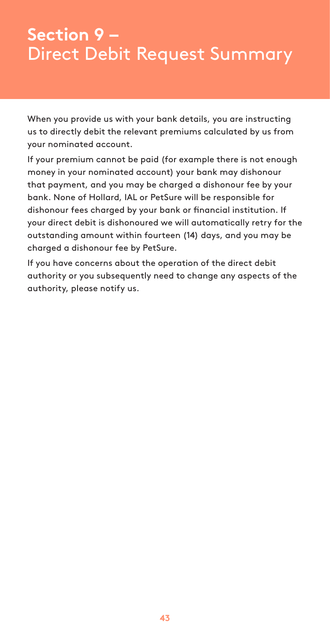## **Section 9 –** Direct Debit Request Summary

When you provide us with your bank details, you are instructing us to directly debit the relevant premiums calculated by us from your nominated account.

If your premium cannot be paid (for example there is not enough money in your nominated account) your bank may dishonour that payment, and you may be charged a dishonour fee by your bank. None of Hollard, IAL or PetSure will be responsible for dishonour fees charged by your bank or financial institution. If your direct debit is dishonoured we will automatically retry for the outstanding amount within fourteen (14) days, and you may be charged a dishonour fee by PetSure.

If you have concerns about the operation of the direct debit authority or you subsequently need to change any aspects of the authority, please notify us.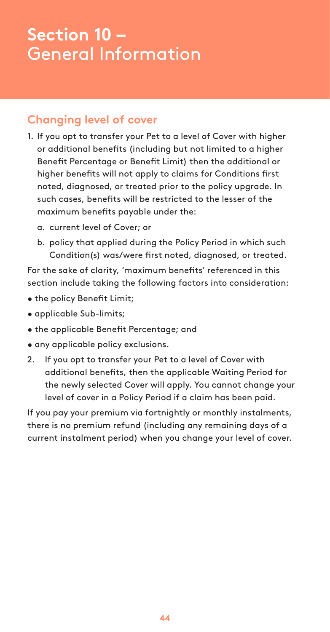## **Section 10 –** General Information

## **Changing level of cover**

- 1. If you opt to transfer your Pet to a level of Cover with higher or additional benefits (including but not limited to a higher Benefit Percentage or Benefit Limit) then the additional or higher benefits will not apply to claims for Conditions first noted, diagnosed, or treated prior to the policy upgrade. In such cases, benefits will be restricted to the lesser of the maximum benefits payable under the:
	- a. current level of Cover; or
	- b. policy that applied during the Policy Period in which such Condition(s) was/were first noted, diagnosed, or treated.

For the sake of clarity, 'maximum benefits' referenced in this section include taking the following factors into consideration:

- the policy Benefit Limit;
- applicable Sub-limits;
- the applicable Benefit Percentage; and
- any applicable policy exclusions.
- 2. If you opt to transfer your Pet to a level of Cover with additional benefits, then the applicable Waiting Period for the newly selected Cover will apply. You cannot change your level of cover in a Policy Period if a claim has been paid.

If you pay your premium via fortnightly or monthly instalments, there is no premium refund (including any remaining days of a current instalment period) when you change your level of cover.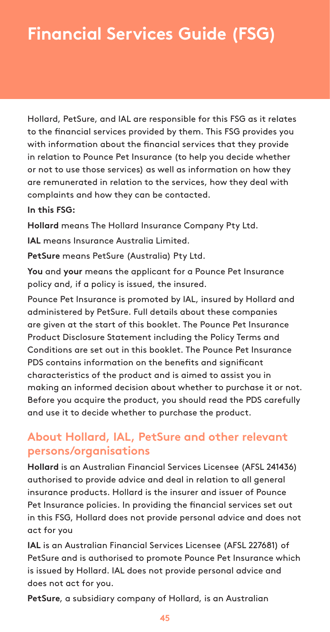## **Financial Services Guide (FSG)**

Hollard, PetSure, and IAL are responsible for this FSG as it relates to the financial services provided by them. This FSG provides you with information about the financial services that they provide in relation to Pounce Pet Insurance (to help you decide whether or not to use those services) as well as information on how they are remunerated in relation to the services, how they deal with complaints and how they can be contacted.

#### **In this FSG:**

**Hollard** means The Hollard Insurance Company Pty Ltd.

**IAL** means Insurance Australia Limited.

**PetSure** means PetSure (Australia) Pty Ltd.

**You** and **your** means the applicant for a Pounce Pet Insurance policy and, if a policy is issued, the insured.

Pounce Pet Insurance is promoted by IAL, insured by Hollard and administered by PetSure. Full details about these companies are given at the start of this booklet. The Pounce Pet Insurance Product Disclosure Statement including the Policy Terms and Conditions are set out in this booklet. The Pounce Pet Insurance PDS contains information on the benefits and significant characteristics of the product and is aimed to assist you in making an informed decision about whether to purchase it or not. Before you acquire the product, you should read the PDS carefully and use it to decide whether to purchase the product.

## **About Hollard, IAL, PetSure and other relevant persons/organisations**

**Hollard** is an Australian Financial Services Licensee (AFSL 241436) authorised to provide advice and deal in relation to all general insurance products. Hollard is the insurer and issuer of Pounce Pet Insurance policies. In providing the financial services set out in this FSG, Hollard does not provide personal advice and does not act for you

**IAL** is an Australian Financial Services Licensee (AFSL 227681) of PetSure and is authorised to promote Pounce Pet Insurance which is issued by Hollard. IAL does not provide personal advice and does not act for you.

**PetSure**, a subsidiary company of Hollard, is an Australian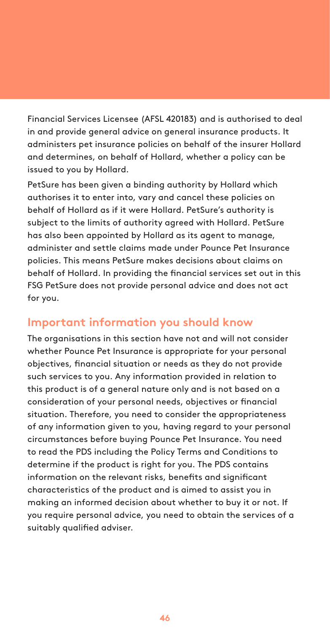Financial Services Licensee (AFSL 420183) and is authorised to deal in and provide general advice on general insurance products. It administers pet insurance policies on behalf of the insurer Hollard and determines, on behalf of Hollard, whether a policy can be issued to you by Hollard.

PetSure has been given a binding authority by Hollard which authorises it to enter into, vary and cancel these policies on behalf of Hollard as if it were Hollard. PetSure's authority is subject to the limits of authority agreed with Hollard. PetSure has also been appointed by Hollard as its agent to manage, administer and settle claims made under Pounce Pet Insurance policies. This means PetSure makes decisions about claims on behalf of Hollard. In providing the financial services set out in this FSG PetSure does not provide personal advice and does not act for you.

## **Important information you should know**

The organisations in this section have not and will not consider whether Pounce Pet Insurance is appropriate for your personal objectives, financial situation or needs as they do not provide such services to you. Any information provided in relation to this product is of a general nature only and is not based on a consideration of your personal needs, objectives or financial situation. Therefore, you need to consider the appropriateness of any information given to you, having regard to your personal circumstances before buying Pounce Pet Insurance. You need to read the PDS including the Policy Terms and Conditions to determine if the product is right for you. The PDS contains information on the relevant risks, benefits and significant characteristics of the product and is aimed to assist you in making an informed decision about whether to buy it or not. If you require personal advice, you need to obtain the services of a suitably qualified adviser.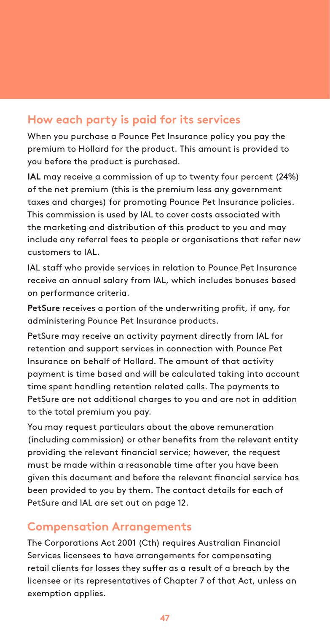### **How each party is paid for its services**

When you purchase a Pounce Pet Insurance policy you pay the premium to Hollard for the product. This amount is provided to you before the product is purchased.

**IAL** may receive a commission of up to twenty four percent (24%) of the net premium (this is the premium less any government taxes and charges) for promoting Pounce Pet Insurance policies. This commission is used by IAL to cover costs associated with the marketing and distribution of this product to you and may include any referral fees to people or organisations that refer new customers to IAL.

IAL staff who provide services in relation to Pounce Pet Insurance receive an annual salary from IAL, which includes bonuses based on performance criteria.

**PetSure** receives a portion of the underwriting profit, if any, for administering Pounce Pet Insurance products.

PetSure may receive an activity payment directly from IAL for retention and support services in connection with Pounce Pet Insurance on behalf of Hollard. The amount of that activity payment is time based and will be calculated taking into account time spent handling retention related calls. The payments to PetSure are not additional charges to you and are not in addition to the total premium you pay.

You may request particulars about the above remuneration (including commission) or other benefits from the relevant entity providing the relevant financial service; however, the request must be made within a reasonable time after you have been given this document and before the relevant financial service has been provided to you by them. The contact details for each of PetSure and IAL are set out on page 12.

### **Compensation Arrangements**

The Corporations Act 2001 (Cth) requires Australian Financial Services licensees to have arrangements for compensating retail clients for losses they suffer as a result of a breach by the licensee or its representatives of Chapter 7 of that Act, unless an exemption applies.